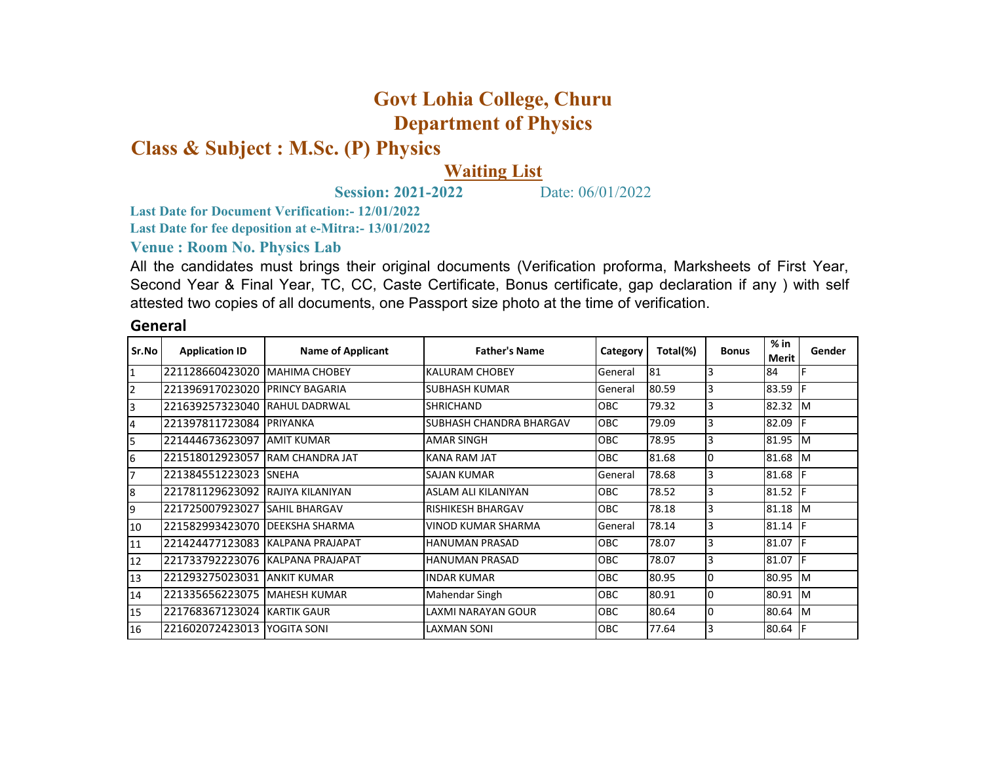## **Govt Lohia College, Churu Department of Physics**

**Class & Subject : M.Sc. (P) Physics**

## **Waiting List**

**Session: 2021-2022** Date: 06/01/2022

**Last Date for Document Verification:- 12/01/2022**

**Last Date for fee deposition at e-Mitra:- 13/01/2022**

**Venue : Room No. Physics Lab** 

All the candidates must brings their original documents (Verification proforma, Marksheets of First Year, Second Year & Final Year, TC, CC, Caste Certificate, Bonus certificate, gap declaration if any ) with self attested two copies of all documents, one Passport size photo at the time of verification.

## **General**

| Sr.No          | <b>Application ID</b> | <b>Name of Applicant</b> | <b>Father's Name</b>           | Category   | Total(%) | <b>Bonus</b> | $%$ in<br><b>Merit</b> | Gender     |
|----------------|-----------------------|--------------------------|--------------------------------|------------|----------|--------------|------------------------|------------|
| I1             | 221128660423020       | <b>MAHIMA CHOBEY</b>     | <b>KALURAM CHOBEY</b>          | General    | 81       | 3            | 84                     |            |
| 12             | 221396917023020       | <b>PRINCY BAGARIA</b>    | <b>SUBHASH KUMAR</b>           | General    | 80.59    | 3            | 83.59                  | IF         |
| IЗ             | 221639257323040       | <b>RAHUL DADRWAL</b>     | <b>ISHRICHAND</b>              | <b>OBC</b> | 79.32    | 3            | 82.32                  | Iм         |
| $\overline{4}$ | 221397811723084       | PRIYANKA                 | <b>SUBHASH CHANDRA BHARGAV</b> | <b>OBC</b> | 79.09    | 3            | 82.09                  |            |
| 5              | 221444673623097       | <b>AMIT KUMAR</b>        | <b>AMAR SINGH</b>              | <b>OBC</b> | 78.95    | 3            | 81.95                  | Iм         |
| 6              | 221518012923057       | <b>RAM CHANDRA JAT</b>   | <b>KANA RAM JAT</b>            | <b>OBC</b> | 81.68    | l0           | 81.68 M                |            |
| 7              | 221384551223023       | <b>SNEHA</b>             | <b>SAJAN KUMAR</b>             | General    | 78.68    | 3            | 81.68                  | IF         |
| 8              | 221781129623092       | <b>RAJIYA KILANIYAN</b>  | ASLAM ALI KILANIYAN            | <b>OBC</b> | 78.52    | 3            | 81.52                  | IF         |
| 9              | 221725007923027       | <b>SAHIL BHARGAV</b>     | <b>RISHIKESH BHARGAV</b>       | <b>OBC</b> | 78.18    | 3            | 81.18                  | Iм         |
| 10             | 221582993423070       | <b>IDEEKSHA SHARMA</b>   | VINOD KUMAR SHARMA             | General    | 78.14    | 3            | 81.14                  | IF         |
| 11             | 221424477123083       | KALPANA PRAJAPAT         | HANUMAN PRASAD                 | <b>OBC</b> | 78.07    | 3            | 81.07                  | IF         |
| 12             | 221733792223076       | KALPANA PRAJAPAT         | <b>HANUMAN PRASAD</b>          | <b>OBC</b> | 78.07    | 3            | 81.07                  |            |
| 13             | 221293275023031       | <b>ANKIT KUMAR</b>       | <b>INDAR KUMAR</b>             | <b>OBC</b> | 80.95    | l0           | 80.95                  | Iм         |
| 14             | 221335656223075       | MAHESH KUMAR             | Mahendar Singh                 | <b>OBC</b> | 80.91    | l0           | 80.91                  | <b>I</b> M |
| 15             | 221768367123024       | <b>KARTIK GAUR</b>       | LAXMI NARAYAN GOUR             | <b>OBC</b> | 80.64    | I٥           | 80.64 M                |            |
| 16             | 221602072423013       | YOGITA SONI              | <b>LAXMAN SONI</b>             | <b>OBC</b> | 77.64    | 3            | 80.64                  | IF         |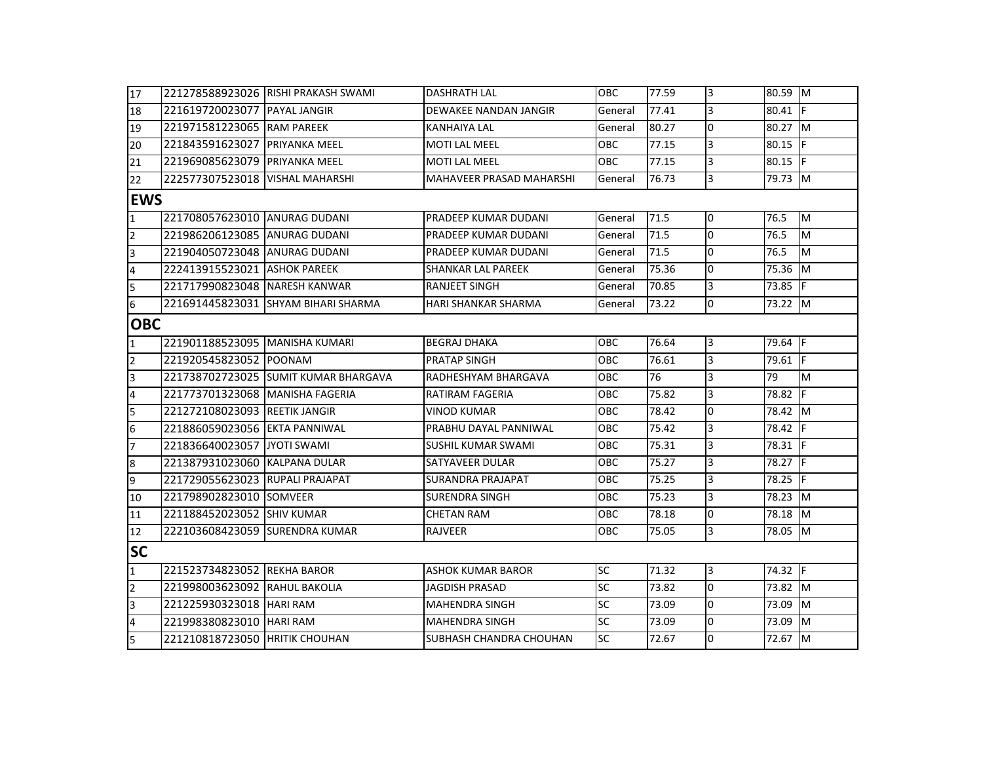| 17                      |                                 | 221278588923026 RISHI PRAKASH SWAMI  | DASHRATH LAL                    | OBC             | 77.59 | Iз             | 80.59 M              |           |  |  |
|-------------------------|---------------------------------|--------------------------------------|---------------------------------|-----------------|-------|----------------|----------------------|-----------|--|--|
| 18                      | 221619720023077 PAYAL JANGIR    |                                      | DEWAKEE NANDAN JANGIR           | General         | 77.41 | 3              | 80.41 F              |           |  |  |
| 19                      | 221971581223065 RAM PAREEK      |                                      | KANHAIYA LAL                    | General         | 80.27 | lo.            | 80.27                | <b>IM</b> |  |  |
| 20                      | 221843591623027 PRIYANKA MEEL   |                                      | MOTI LAL MEEL                   | <b>OBC</b>      | 77.15 | 3              | $80.15$ F            |           |  |  |
| 21                      | 221969085623079 PRIYANKA MEEL   |                                      | <b>MOTI LAL MEEL</b>            | OBC             | 77.15 | Iз             | 80.15 $\overline{F}$ |           |  |  |
| 22                      | 222577307523018 VISHAL MAHARSHI |                                      | <b>MAHAVEER PRASAD MAHARSHI</b> | General         | 76.73 | $\overline{3}$ | 79.73 M              |           |  |  |
|                         | <b>EWS</b>                      |                                      |                                 |                 |       |                |                      |           |  |  |
| $\overline{1}$          | 221708057623010 ANURAG DUDANI   |                                      | PRADEEP KUMAR DUDANI            | General         | 71.5  | l0             | 76.5                 | M         |  |  |
| $\overline{2}$          | 221986206123085 ANURAG DUDANI   |                                      | PRADEEP KUMAR DUDANI            | General         | 71.5  | Тo             | 76.5                 | M         |  |  |
| $\overline{3}$          | 221904050723048 ANURAG DUDANI   |                                      | PRADEEP KUMAR DUDANI            | General         | 71.5  | Iо             | 76.5                 | M         |  |  |
| $\overline{4}$          | 222413915523021 ASHOK PAREEK    |                                      | SHANKAR LAL PAREEK              | General         | 75.36 | Iо             | 75.36 M              |           |  |  |
| 5                       | 221717990823048 NARESH KANWAR   |                                      | <b>RANJEET SINGH</b>            | General         | 70.85 | Iз             | $73.85$ F            |           |  |  |
| 6                       |                                 | 221691445823031 SHYAM BIHARI SHARMA  | <b>HARI SHANKAR SHARMA</b>      | General         | 73.22 | Iо             | 73.22 M              |           |  |  |
| <b>OBC</b>              |                                 |                                      |                                 |                 |       |                |                      |           |  |  |
| $\mathbf{1}$            | 221901188523095 MANISHA KUMARI  |                                      | <b>BEGRAJ DHAKA</b>             | <b>OBC</b>      | 76.64 | Iз             | 79.64 F              |           |  |  |
| $\overline{2}$          | 221920545823052 POONAM          |                                      | PRATAP SINGH                    | <b>OBC</b>      | 76.61 | Iз             | $79.61$ F            |           |  |  |
| $\overline{3}$          |                                 | 221738702723025 SUMIT KUMAR BHARGAVA | RADHESHYAM BHARGAVA             | <b>OBC</b>      | 76    | 3              | 79                   | M         |  |  |
| $\overline{4}$          | 221773701323068 MANISHA FAGERIA |                                      | RATIRAM FAGERIA                 | <b>OBC</b>      | 75.82 | 3              | 78.82                | -lF       |  |  |
| 5                       | 221272108023093 REETIK JANGIR   |                                      | <b>VINOD KUMAR</b>              | <b>OBC</b>      | 78.42 | Iо             | 78.42 M              |           |  |  |
| $\overline{6}$          | 221886059023056 EKTA PANNIWAL   |                                      | PRABHU DAYAL PANNIWAL           | <b>OBC</b>      | 75.42 | Iз             | 78.42 F              |           |  |  |
| $\overline{7}$          | 221836640023057 JYOTI SWAMI     |                                      | SUSHIL KUMAR SWAMI              | OBC             | 75.31 | 3              | 78.31 F              |           |  |  |
| $\bf{8}$                | 221387931023060 KALPANA DULAR   |                                      | SATYAVEER DULAR                 | <b>OBC</b>      | 75.27 | 3              | $78.27$ F            |           |  |  |
| 9                       | 221729055623023 RUPALI PRAJAPAT |                                      | SURANDRA PRAJAPAT               | OBC             | 75.25 | 3              | 78.25 F              |           |  |  |
| 10                      | 221798902823010 SOMVEER         |                                      | <b>SURENDRA SINGH</b>           | <b>OBC</b>      | 75.23 | Iз             | 78.23 M              |           |  |  |
| 11                      | 221188452023052 SHIV KUMAR      |                                      | <b>CHETAN RAM</b>               | <b>OBC</b>      | 78.18 | Iо             | 78.18 M              |           |  |  |
| 12                      | 222103608423059 SURENDRA KUMAR  |                                      | <b>RAJVEER</b>                  | <b>OBC</b>      | 75.05 | $\overline{3}$ | 78.05 M              |           |  |  |
| <b>SC</b>               |                                 |                                      |                                 |                 |       |                |                      |           |  |  |
| $\overline{1}$          | 221523734823052 REKHA BAROR     |                                      | <b>ASHOK KUMAR BAROR</b>        | SC              | 71.32 | $\overline{3}$ | $74.32$ F            |           |  |  |
| $\overline{2}$          | 221998003623092 RAHUL BAKOLIA   |                                      | JAGDISH PRASAD                  | <b>SC</b>       | 73.82 | lo.            | $73.82$ M            |           |  |  |
| $\overline{\mathbf{3}}$ | 221225930323018 HARI RAM        |                                      | <b>MAHENDRA SINGH</b>           | $\overline{SC}$ | 73.09 | Iо             | 73.09                | <b>IM</b> |  |  |
| $\overline{4}$          | 221998380823010 HARI RAM        |                                      | <b>MAHENDRA SINGH</b>           | $\overline{SC}$ | 73.09 | Iо             | 73.09                | M         |  |  |
| $\overline{5}$          | 221210818723050 HRITIK CHOUHAN  |                                      | <b>SUBHASH CHANDRA CHOUHAN</b>  | <b>SC</b>       | 72.67 | Iо             | 72.67 M              |           |  |  |